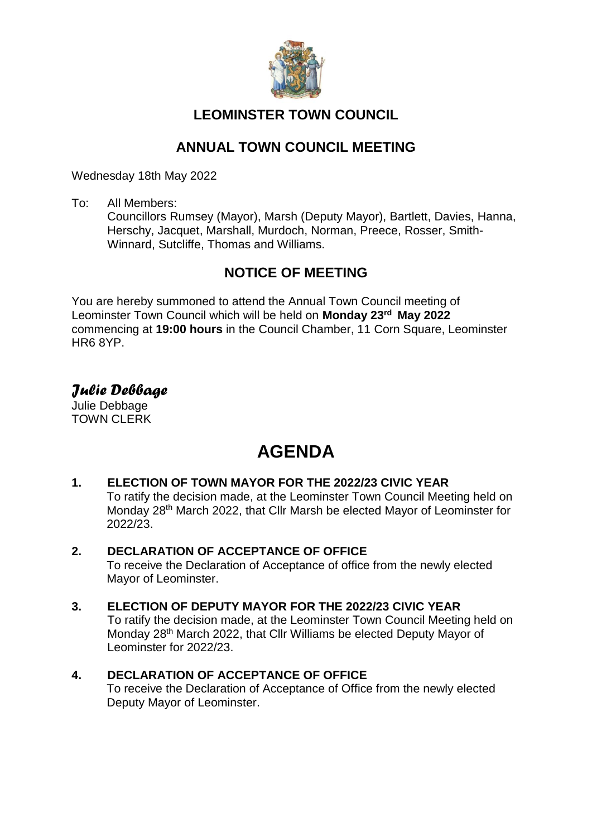

# **LEOMINSTER TOWN COUNCIL**

# **ANNUAL TOWN COUNCIL MEETING**

Wednesday 18th May 2022

To: All Members:

Councillors Rumsey (Mayor), Marsh (Deputy Mayor), Bartlett, Davies, Hanna, Herschy, Jacquet, Marshall, Murdoch, Norman, Preece, Rosser, Smith-Winnard, Sutcliffe, Thomas and Williams.

# **NOTICE OF MEETING**

You are hereby summoned to attend the Annual Town Council meeting of Leominster Town Council which will be held on **Monday 23 rd May 2022** commencing at **19:00 hours** in the Council Chamber, 11 Corn Square, Leominster HR6 8YP.

# *Julie Debbage*

Julie Debbage TOWN CLERK

# **AGENDA**

# **1. ELECTION OF TOWN MAYOR FOR THE 2022/23 CIVIC YEAR**

To ratify the decision made, at the Leominster Town Council Meeting held on Monday 28th March 2022, that Cllr Marsh be elected Mayor of Leominster for 2022/23.

# **2. DECLARATION OF ACCEPTANCE OF OFFICE**

To receive the Declaration of Acceptance of office from the newly elected Mayor of Leominster.

# **3. ELECTION OF DEPUTY MAYOR FOR THE 2022/23 CIVIC YEAR**

To ratify the decision made, at the Leominster Town Council Meeting held on Monday 28th March 2022, that Cllr Williams be elected Deputy Mayor of Leominster for 2022/23.

# **4. DECLARATION OF ACCEPTANCE OF OFFICE**

To receive the Declaration of Acceptance of Office from the newly elected Deputy Mayor of Leominster.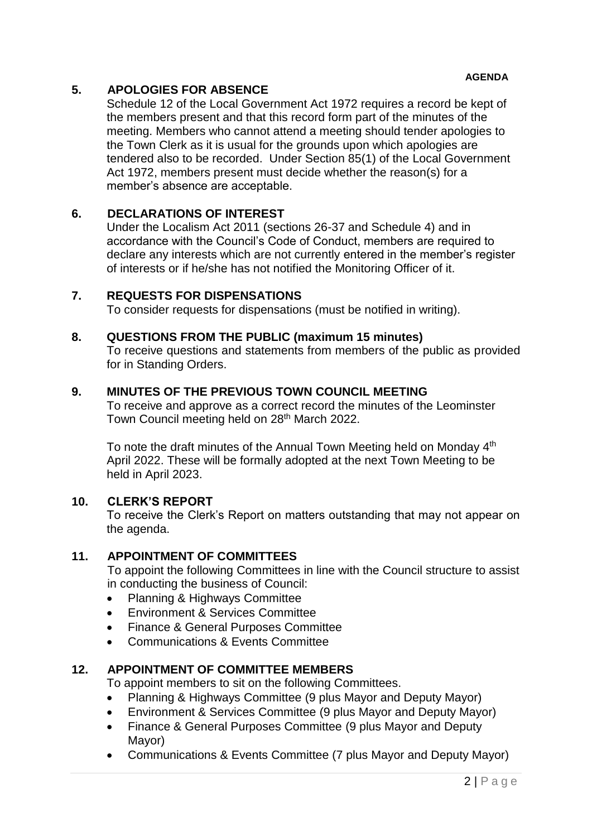# **5. APOLOGIES FOR ABSENCE**

Schedule 12 of the Local Government Act 1972 requires a record be kept of the members present and that this record form part of the minutes of the meeting. Members who cannot attend a meeting should tender apologies to the Town Clerk as it is usual for the grounds upon which apologies are tendered also to be recorded. Under Section 85(1) of the Local Government Act 1972, members present must decide whether the reason(s) for a member's absence are acceptable.

# **6. DECLARATIONS OF INTEREST**

Under the Localism Act 2011 (sections 26-37 and Schedule 4) and in accordance with the Council's Code of Conduct, members are required to declare any interests which are not currently entered in the member's register of interests or if he/she has not notified the Monitoring Officer of it.

# **7. REQUESTS FOR DISPENSATIONS**

To consider requests for dispensations (must be notified in writing).

#### **8. QUESTIONS FROM THE PUBLIC (maximum 15 minutes)**

To receive questions and statements from members of the public as provided for in Standing Orders.

# **9. MINUTES OF THE PREVIOUS TOWN COUNCIL MEETING**

To receive and approve as a correct record the minutes of the Leominster Town Council meeting held on 28<sup>th</sup> March 2022.

To note the draft minutes of the Annual Town Meeting held on Monday 4<sup>th</sup> April 2022. These will be formally adopted at the next Town Meeting to be held in April 2023.

#### **10. CLERK'S REPORT**

To receive the Clerk's Report on matters outstanding that may not appear on the agenda.

#### **11. APPOINTMENT OF COMMITTEES**

To appoint the following Committees in line with the Council structure to assist in conducting the business of Council:

- Planning & Highways Committee
- Environment & Services Committee
- Finance & General Purposes Committee
- Communications & Events Committee

# **12. APPOINTMENT OF COMMITTEE MEMBERS**

To appoint members to sit on the following Committees.

- Planning & Highways Committee (9 plus Mayor and Deputy Mayor)
- Environment & Services Committee (9 plus Mayor and Deputy Mayor)
- Finance & General Purposes Committee (9 plus Mayor and Deputy Mayor)
- Communications & Events Committee (7 plus Mayor and Deputy Mayor)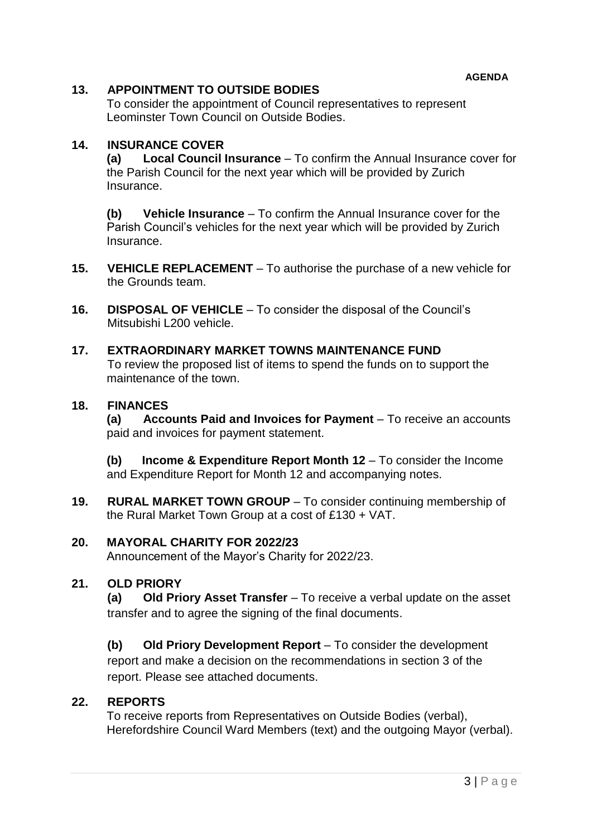# **13. APPOINTMENT TO OUTSIDE BODIES**

To consider the appointment of Council representatives to represent Leominster Town Council on Outside Bodies.

# **14. INSURANCE COVER**

**(a) Local Council Insurance** – To confirm the Annual Insurance cover for the Parish Council for the next year which will be provided by Zurich Insurance.

**(b) Vehicle Insurance** – To confirm the Annual Insurance cover for the Parish Council's vehicles for the next year which will be provided by Zurich Insurance.

- **15. VEHICLE REPLACEMENT** To authorise the purchase of a new vehicle for the Grounds team.
- **16. DISPOSAL OF VEHICLE** To consider the disposal of the Council's Mitsubishi L200 vehicle.

#### **17. EXTRAORDINARY MARKET TOWNS MAINTENANCE FUND** To review the proposed list of items to spend the funds on to support the maintenance of the town.

#### **18. FINANCES**

**(a) Accounts Paid and Invoices for Payment** – To receive an accounts paid and invoices for payment statement.

**(b) Income & Expenditure Report Month 12** – To consider the Income and Expenditure Report for Month 12 and accompanying notes.

**19. RURAL MARKET TOWN GROUP** – To consider continuing membership of the Rural Market Town Group at a cost of £130 + VAT.

#### **20. MAYORAL CHARITY FOR 2022/23**

Announcement of the Mayor's Charity for 2022/23.

#### **21. OLD PRIORY**

**(a) Old Priory Asset Transfer** – To receive a verbal update on the asset transfer and to agree the signing of the final documents.

**(b) Old Priory Development Report** – To consider the development report and make a decision on the recommendations in section 3 of the report. Please see attached documents.

#### **22. REPORTS**

To receive reports from Representatives on Outside Bodies (verbal), Herefordshire Council Ward Members (text) and the outgoing Mayor (verbal).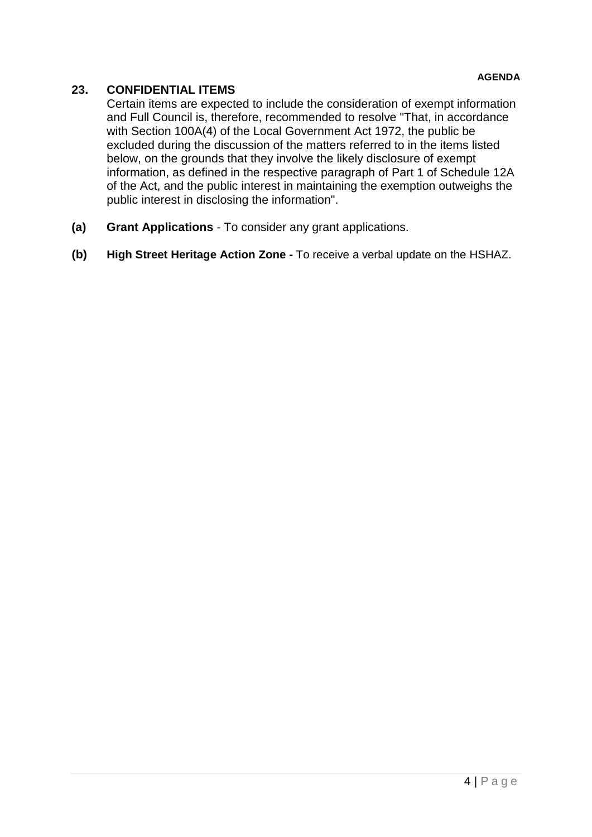# **23. CONFIDENTIAL ITEMS**

Certain items are expected to include the consideration of exempt information and Full Council is, therefore, recommended to resolve "That, in accordance with Section 100A(4) of the Local Government Act 1972, the public be excluded during the discussion of the matters referred to in the items listed below, on the grounds that they involve the likely disclosure of exempt information, as defined in the respective paragraph of Part 1 of Schedule 12A of the Act, and the public interest in maintaining the exemption outweighs the public interest in disclosing the information".

- **(a) Grant Applications**  To consider any grant applications.
- **(b) High Street Heritage Action Zone -** To receive a verbal update on the HSHAZ.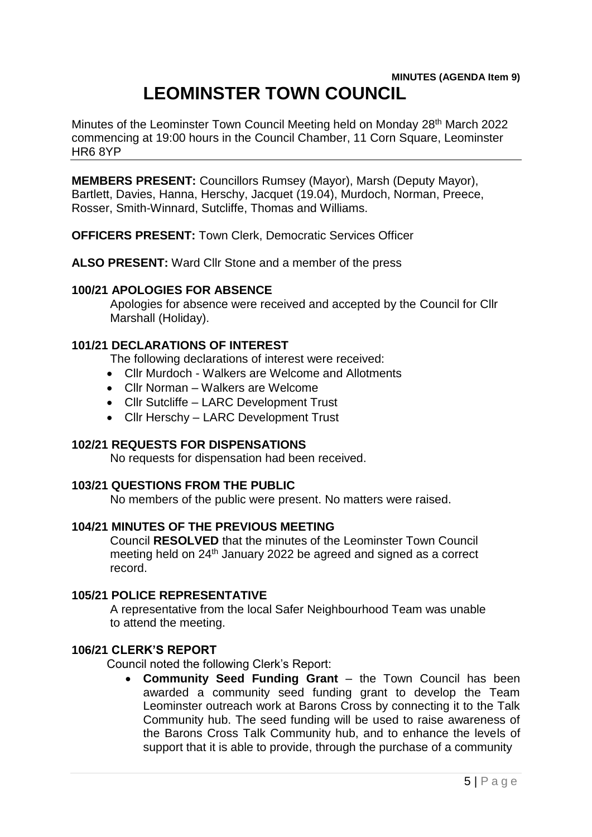# **MINUTES (AGENDA Item 9) LEOMINSTER TOWN COUNCIL**

Minutes of the Leominster Town Council Meeting held on Monday 28<sup>th</sup> March 2022 commencing at 19:00 hours in the Council Chamber, 11 Corn Square, Leominster HR6 8YP

**MEMBERS PRESENT:** Councillors Rumsey (Mayor), Marsh (Deputy Mayor), Bartlett, Davies, Hanna, Herschy, Jacquet (19.04), Murdoch, Norman, Preece, Rosser, Smith-Winnard, Sutcliffe, Thomas and Williams.

**OFFICERS PRESENT:** Town Clerk, Democratic Services Officer

**ALSO PRESENT:** Ward Cllr Stone and a member of the press

#### **100/21 APOLOGIES FOR ABSENCE**

Apologies for absence were received and accepted by the Council for Cllr Marshall (Holiday).

#### **101/21 DECLARATIONS OF INTEREST**

The following declarations of interest were received:

- Cllr Murdoch Walkers are Welcome and Allotments
- Cllr Norman Walkers are Welcome
- Cllr Sutcliffe LARC Development Trust
- Cllr Herschy LARC Development Trust

#### **102/21 REQUESTS FOR DISPENSATIONS**

No requests for dispensation had been received.

#### **103/21 QUESTIONS FROM THE PUBLIC**

No members of the public were present. No matters were raised.

#### **104/21 MINUTES OF THE PREVIOUS MEETING**

Council **RESOLVED** that the minutes of the Leominster Town Council meeting held on 24<sup>th</sup> January 2022 be agreed and signed as a correct record.

#### **105/21 POLICE REPRESENTATIVE**

A representative from the local Safer Neighbourhood Team was unable to attend the meeting.

#### **106/21 CLERK'S REPORT**

Council noted the following Clerk's Report:

 **Community Seed Funding Grant** – the Town Council has been awarded a community seed funding grant to develop the Team Leominster outreach work at Barons Cross by connecting it to the Talk Community hub. The seed funding will be used to raise awareness of the Barons Cross Talk Community hub, and to enhance the levels of support that it is able to provide, through the purchase of a community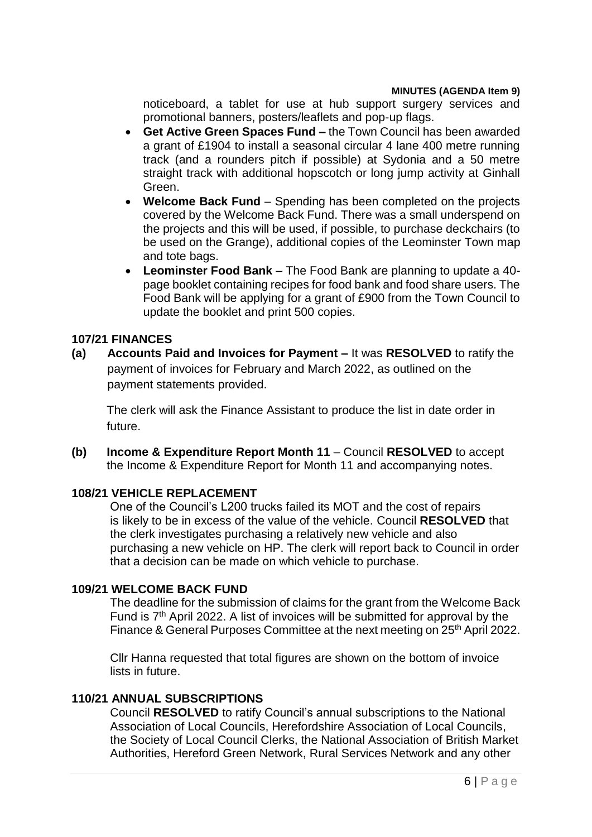noticeboard, a tablet for use at hub support surgery services and promotional banners, posters/leaflets and pop-up flags.

- **Get Active Green Spaces Fund –** the Town Council has been awarded a grant of £1904 to install a seasonal circular 4 lane 400 metre running track (and a rounders pitch if possible) at Sydonia and a 50 metre straight track with additional hopscotch or long jump activity at Ginhall Green.
- **Welcome Back Fund** Spending has been completed on the projects covered by the Welcome Back Fund. There was a small underspend on the projects and this will be used, if possible, to purchase deckchairs (to be used on the Grange), additional copies of the Leominster Town map and tote bags.
- **Leominster Food Bank** The Food Bank are planning to update a 40 page booklet containing recipes for food bank and food share users. The Food Bank will be applying for a grant of £900 from the Town Council to update the booklet and print 500 copies.

#### **107/21 FINANCES**

**(a) Accounts Paid and Invoices for Payment –** It was **RESOLVED** to ratify the payment of invoices for February and March 2022, as outlined on the payment statements provided.

The clerk will ask the Finance Assistant to produce the list in date order in future.

**(b) Income & Expenditure Report Month 11** – Council **RESOLVED** to accept the Income & Expenditure Report for Month 11 and accompanying notes.

#### **108/21 VEHICLE REPLACEMENT**

One of the Council's L200 trucks failed its MOT and the cost of repairs is likely to be in excess of the value of the vehicle. Council **RESOLVED** that the clerk investigates purchasing a relatively new vehicle and also purchasing a new vehicle on HP. The clerk will report back to Council in order that a decision can be made on which vehicle to purchase.

#### **109/21 WELCOME BACK FUND**

The deadline for the submission of claims for the grant from the Welcome Back Fund is 7<sup>th</sup> April 2022. A list of invoices will be submitted for approval by the Finance & General Purposes Committee at the next meeting on 25<sup>th</sup> April 2022.

Cllr Hanna requested that total figures are shown on the bottom of invoice lists in future.

## **110/21 ANNUAL SUBSCRIPTIONS**

Council **RESOLVED** to ratify Council's annual subscriptions to the National Association of Local Councils, Herefordshire Association of Local Councils, the Society of Local Council Clerks, the National Association of British Market Authorities, Hereford Green Network, Rural Services Network and any other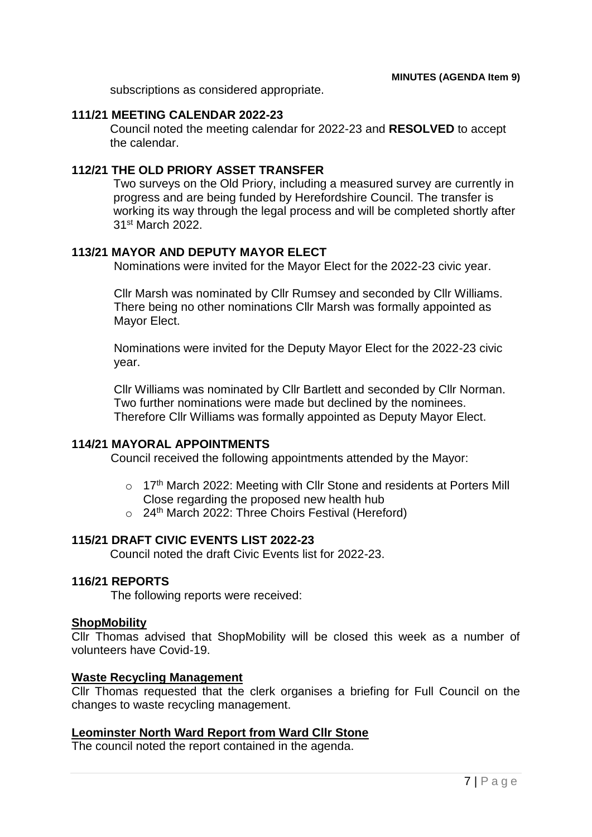subscriptions as considered appropriate.

#### **111/21 MEETING CALENDAR 2022-23**

Council noted the meeting calendar for 2022-23 and **RESOLVED** to accept the calendar.

#### **112/21 THE OLD PRIORY ASSET TRANSFER**

Two surveys on the Old Priory, including a measured survey are currently in progress and are being funded by Herefordshire Council. The transfer is working its way through the legal process and will be completed shortly after 31st March 2022.

#### **113/21 MAYOR AND DEPUTY MAYOR ELECT**

Nominations were invited for the Mayor Elect for the 2022-23 civic year.

Cllr Marsh was nominated by Cllr Rumsey and seconded by Cllr Williams. There being no other nominations Cllr Marsh was formally appointed as Mayor Elect.

Nominations were invited for the Deputy Mayor Elect for the 2022-23 civic year.

Cllr Williams was nominated by Cllr Bartlett and seconded by Cllr Norman. Two further nominations were made but declined by the nominees. Therefore Cllr Williams was formally appointed as Deputy Mayor Elect.

#### **114/21 MAYORAL APPOINTMENTS**

Council received the following appointments attended by the Mayor:

- $\circ$  17<sup>th</sup> March 2022: Meeting with Cllr Stone and residents at Porters Mill Close regarding the proposed new health hub
- $\circ$  24<sup>th</sup> March 2022: Three Choirs Festival (Hereford)

#### **115/21 DRAFT CIVIC EVENTS LIST 2022-23**

Council noted the draft Civic Events list for 2022-23.

# **116/21 REPORTS**

The following reports were received:

#### **ShopMobility**

Cllr Thomas advised that ShopMobility will be closed this week as a number of volunteers have Covid-19.

#### **Waste Recycling Management**

Cllr Thomas requested that the clerk organises a briefing for Full Council on the changes to waste recycling management.

#### **Leominster North Ward Report from Ward Cllr Stone**

The council noted the report contained in the agenda.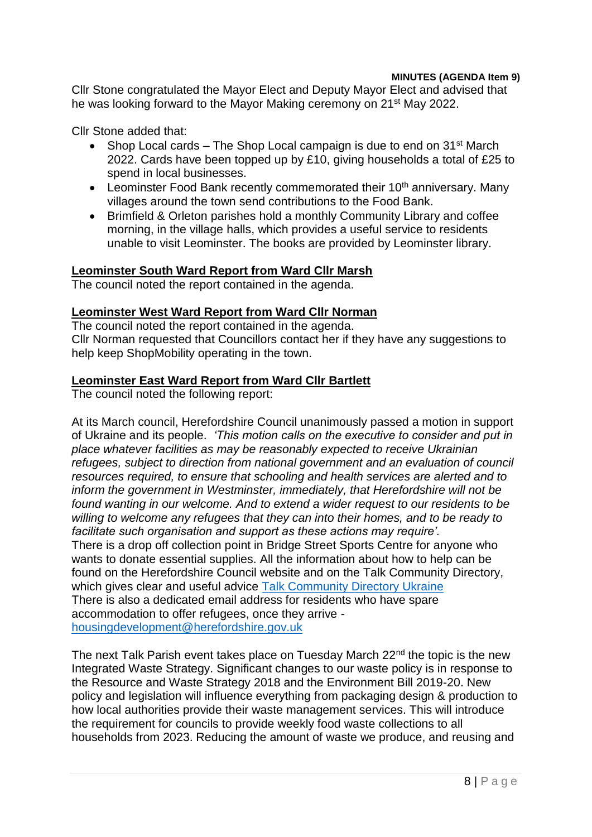Cllr Stone congratulated the Mayor Elect and Deputy Mayor Elect and advised that he was looking forward to the Mayor Making ceremony on 21st May 2022.

Cllr Stone added that:

- Shop Local cards The Shop Local campaign is due to end on 31st March 2022. Cards have been topped up by £10, giving households a total of £25 to spend in local businesses.
- **•** Leominster Food Bank recently commemorated their  $10<sup>th</sup>$  anniversary. Many villages around the town send contributions to the Food Bank.
- Brimfield & Orleton parishes hold a monthly Community Library and coffee morning, in the village halls, which provides a useful service to residents unable to visit Leominster. The books are provided by Leominster library.

# **Leominster South Ward Report from Ward Cllr Marsh**

The council noted the report contained in the agenda.

#### **Leominster West Ward Report from Ward Cllr Norman**

The council noted the report contained in the agenda. Cllr Norman requested that Councillors contact her if they have any suggestions to help keep ShopMobility operating in the town.

#### **Leominster East Ward Report from Ward Cllr Bartlett**

The council noted the following report:

At its March council, Herefordshire Council unanimously passed a motion in support of Ukraine and its people. *'This motion calls on the executive to consider and put in place whatever facilities as may be reasonably expected to receive Ukrainian refugees, subject to direction from national government and an evaluation of council resources required, to ensure that schooling and health services are alerted and to inform the government in Westminster, immediately, that Herefordshire will not be found wanting in our welcome. And to extend a wider request to our residents to be willing to welcome any refugees that they can into their homes, and to be ready to facilitate such organisation and support as these actions may require'.*

There is a drop off collection point in Bridge Street Sports Centre for anyone who wants to donate essential supplies. All the information about how to help can be found on the Herefordshire Council website and on the Talk Community Directory, which gives clear and useful advice [Talk Community Directory Ukraine](https://www.talkcommunitydirectory.org/ukraine) There is also a dedicated email address for residents who have spare accommodation to offer refugees, once they arrive -

[housingdevelopment@herefordshire.gov.uk](mailto:housingdevelopment@herefordshire.gov.uk)

The next Talk Parish event takes place on Tuesday March 22<sup>nd</sup> the topic is the new Integrated Waste Strategy. Significant changes to our waste policy is in response to the Resource and Waste Strategy 2018 and the Environment Bill 2019-20. New policy and legislation will influence everything from packaging design & production to how local authorities provide their waste management services. This will introduce the requirement for councils to provide weekly food waste collections to all households from 2023. Reducing the amount of waste we produce, and reusing and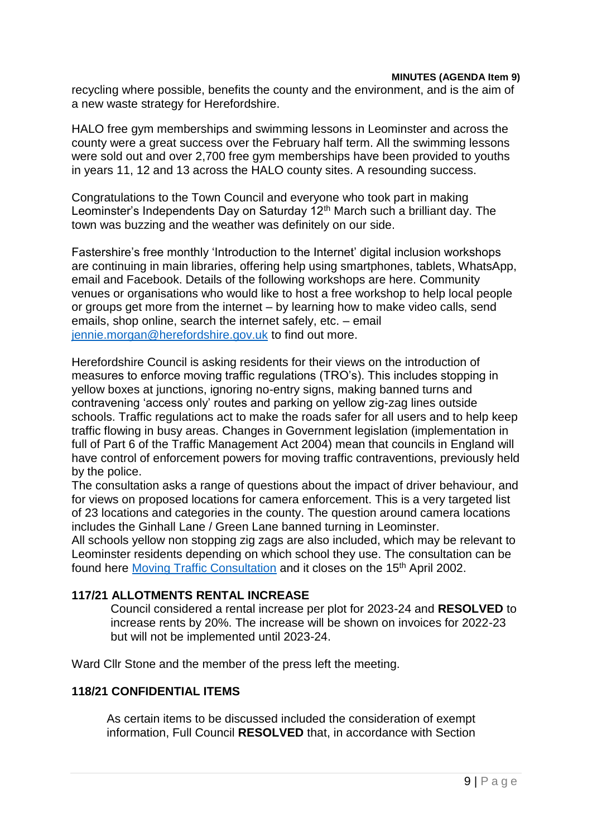recycling where possible, benefits the county and the environment, and is the aim of a new waste strategy for Herefordshire.

HALO free gym memberships and swimming lessons in Leominster and across the county were a great success over the February half term. All the swimming lessons were sold out and over 2,700 free gym memberships have been provided to youths in years 11, 12 and 13 across the HALO county sites. A resounding success.

Congratulations to the Town Council and everyone who took part in making Leominster's Independents Day on Saturday 12<sup>th</sup> March such a brilliant day. The town was buzzing and the weather was definitely on our side.

Fastershire's free monthly 'Introduction to the Internet' digital inclusion workshops are continuing in main libraries, offering help using smartphones, tablets, WhatsApp, email and Facebook. Details of the following workshops are here. Community venues or organisations who would like to host a free workshop to help local people or groups get more from the internet – by learning how to make video calls, send emails, shop online, search the internet safely, etc. – email [jennie.morgan@herefordshire.gov.uk](mailto:jennie.morgan@herefordshire.gov.uk) to find out more.

Herefordshire Council is asking residents for their views on the introduction of measures to enforce moving traffic regulations (TRO's). This includes stopping in yellow boxes at junctions, ignoring no-entry signs, making banned turns and contravening 'access only' routes and parking on yellow zig-zag lines outside schools. Traffic regulations act to make the roads safer for all users and to help keep traffic flowing in busy areas. Changes in Government legislation (implementation in full of Part 6 of the Traffic Management Act 2004) mean that councils in England will have control of enforcement powers for moving traffic contraventions, previously held by the police.

The consultation asks a range of questions about the impact of driver behaviour, and for views on proposed locations for camera enforcement. This is a very targeted list of 23 locations and categories in the county. The question around camera locations includes the Ginhall Lane / Green Lane banned turning in Leominster.

All schools yellow non stopping zig zags are also included, which may be relevant to Leominster residents depending on which school they use. The consultation can be found here [Moving Traffic Consultation](http://www.herefordshire.gov.uk/moving-traffic-consultation) and it closes on the 15<sup>th</sup> April 2002.

#### **117/21 ALLOTMENTS RENTAL INCREASE**

Council considered a rental increase per plot for 2023-24 and **RESOLVED** to increase rents by 20%. The increase will be shown on invoices for 2022-23 but will not be implemented until 2023-24.

Ward Cllr Stone and the member of the press left the meeting.

#### **118/21 CONFIDENTIAL ITEMS**

As certain items to be discussed included the consideration of exempt information, Full Council **RESOLVED** that, in accordance with Section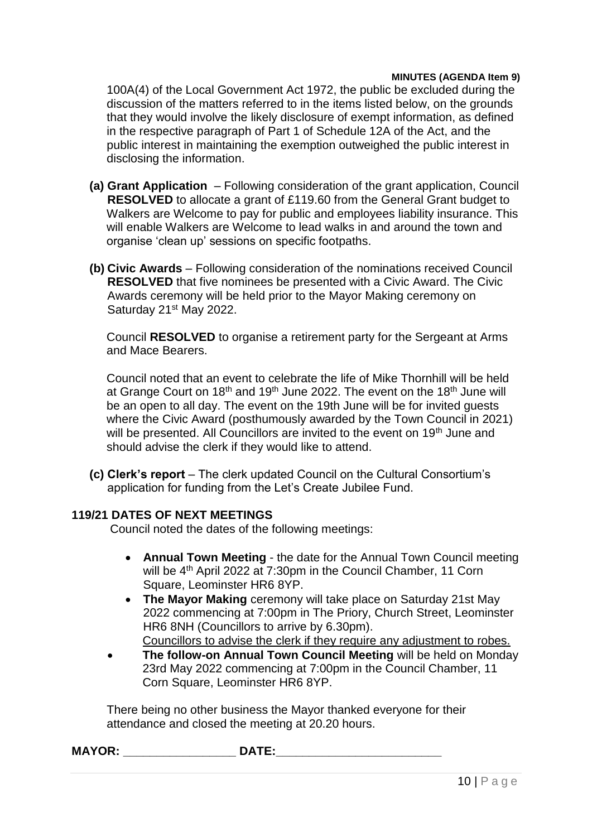100A(4) of the Local Government Act 1972, the public be excluded during the discussion of the matters referred to in the items listed below, on the grounds that they would involve the likely disclosure of exempt information, as defined in the respective paragraph of Part 1 of Schedule 12A of the Act, and the public interest in maintaining the exemption outweighed the public interest in disclosing the information.

- **(a) Grant Application**  Following consideration of the grant application, Council **RESOLVED** to allocate a grant of £119.60 from the General Grant budget to Walkers are Welcome to pay for public and employees liability insurance. This will enable Walkers are Welcome to lead walks in and around the town and organise 'clean up' sessions on specific footpaths.
- **(b) Civic Awards**  Following consideration of the nominations received Council **RESOLVED** that five nominees be presented with a Civic Award. The Civic Awards ceremony will be held prior to the Mayor Making ceremony on Saturday 21<sup>st</sup> May 2022.

Council **RESOLVED** to organise a retirement party for the Sergeant at Arms and Mace Bearers.

Council noted that an event to celebrate the life of Mike Thornhill will be held at Grange Court on 18<sup>th</sup> and 19<sup>th</sup> June 2022. The event on the 18<sup>th</sup> June will be an open to all day. The event on the 19th June will be for invited guests where the Civic Award (posthumously awarded by the Town Council in 2021) will be presented. All Councillors are invited to the event on 19<sup>th</sup> June and should advise the clerk if they would like to attend.

**(c) Clerk's report** – The clerk updated Council on the Cultural Consortium's application for funding from the Let's Create Jubilee Fund.

#### **119/21 DATES OF NEXT MEETINGS**

Council noted the dates of the following meetings:

- **Annual Town Meeting** the date for the Annual Town Council meeting will be 4th April 2022 at 7:30pm in the Council Chamber, 11 Corn Square, Leominster HR6 8YP.
- **The Mayor Making** ceremony will take place on Saturday 21st May 2022 commencing at 7:00pm in The Priory, Church Street, Leominster HR6 8NH (Councillors to arrive by 6.30pm).

Councillors to advise the clerk if they require any adjustment to robes.

 **The follow-on Annual Town Council Meeting** will be held on Monday 23rd May 2022 commencing at 7:00pm in the Council Chamber, 11 Corn Square, Leominster HR6 8YP.

There being no other business the Mayor thanked everyone for their attendance and closed the meeting at 20.20 hours.

**MAYOR: \_\_\_\_\_\_\_\_\_\_\_\_\_\_\_\_\_ DATE:\_\_\_\_\_\_\_\_\_\_\_\_\_\_\_\_\_\_\_\_\_\_\_\_\_**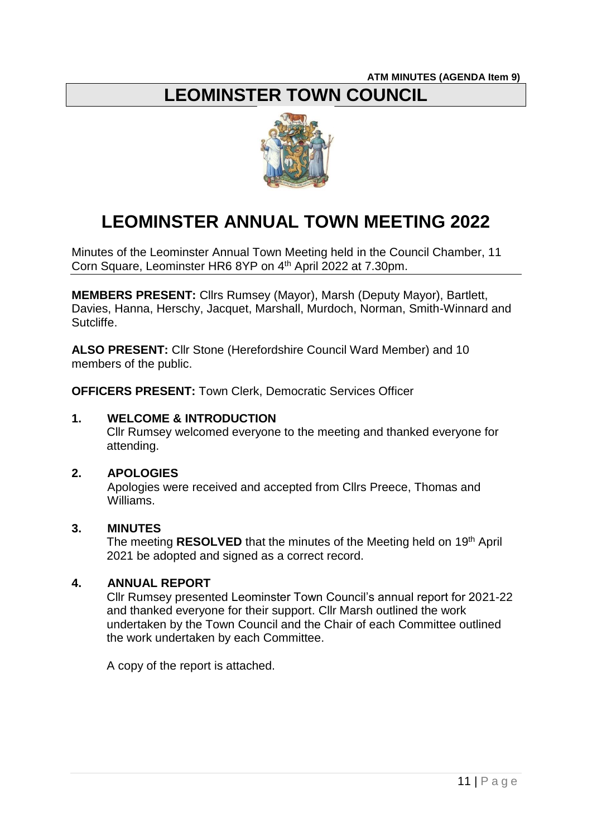# **LEOMINSTER TOWN COUNCIL**



# **LEOMINSTER ANNUAL TOWN MEETING 2022**

Minutes of the Leominster Annual Town Meeting held in the Council Chamber, 11 Corn Square, Leominster HR6 8YP on 4<sup>th</sup> April 2022 at 7.30pm.

**MEMBERS PRESENT:** Cllrs Rumsey (Mayor), Marsh (Deputy Mayor), Bartlett, Davies, Hanna, Herschy, Jacquet, Marshall, Murdoch, Norman, Smith-Winnard and Sutcliffe.

**ALSO PRESENT:** Cllr Stone (Herefordshire Council Ward Member) and 10 members of the public.

**OFFICERS PRESENT:** Town Clerk, Democratic Services Officer

#### **1. WELCOME & INTRODUCTION**

Cllr Rumsey welcomed everyone to the meeting and thanked everyone for attending.

#### **2. APOLOGIES**

Apologies were received and accepted from Cllrs Preece, Thomas and Williams.

#### **3. MINUTES**

The meeting **RESOLVED** that the minutes of the Meeting held on 19th April 2021 be adopted and signed as a correct record.

# **4. ANNUAL REPORT**

Cllr Rumsey presented Leominster Town Council's annual report for 2021-22 and thanked everyone for their support. Cllr Marsh outlined the work undertaken by the Town Council and the Chair of each Committee outlined the work undertaken by each Committee.

A copy of the report is attached.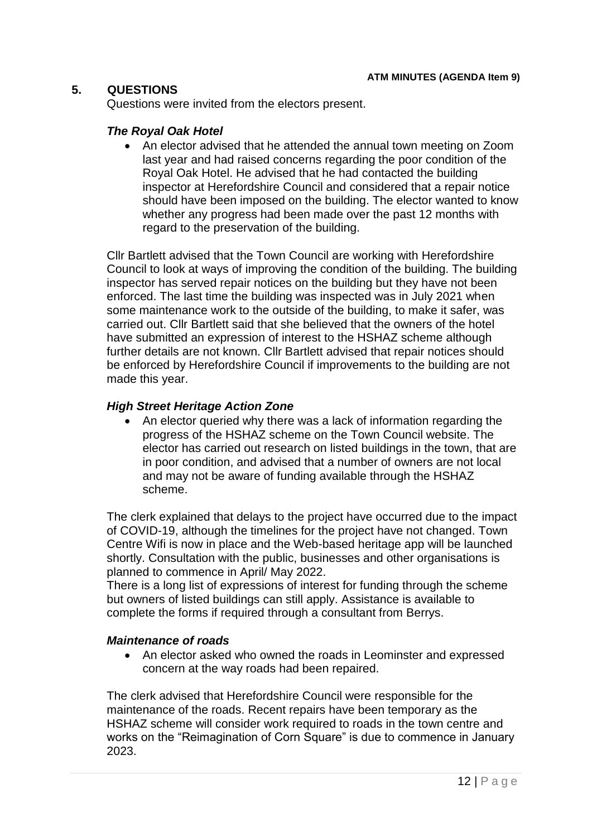# **5. QUESTIONS**

Questions were invited from the electors present.

#### *The Royal Oak Hotel*

• An elector advised that he attended the annual town meeting on Zoom last year and had raised concerns regarding the poor condition of the Royal Oak Hotel. He advised that he had contacted the building inspector at Herefordshire Council and considered that a repair notice should have been imposed on the building. The elector wanted to know whether any progress had been made over the past 12 months with regard to the preservation of the building.

Cllr Bartlett advised that the Town Council are working with Herefordshire Council to look at ways of improving the condition of the building. The building inspector has served repair notices on the building but they have not been enforced. The last time the building was inspected was in July 2021 when some maintenance work to the outside of the building, to make it safer, was carried out. Cllr Bartlett said that she believed that the owners of the hotel have submitted an expression of interest to the HSHAZ scheme although further details are not known. Cllr Bartlett advised that repair notices should be enforced by Herefordshire Council if improvements to the building are not made this year.

# *High Street Heritage Action Zone*

 An elector queried why there was a lack of information regarding the progress of the HSHAZ scheme on the Town Council website. The elector has carried out research on listed buildings in the town, that are in poor condition, and advised that a number of owners are not local and may not be aware of funding available through the HSHAZ scheme.

The clerk explained that delays to the project have occurred due to the impact of COVID-19, although the timelines for the project have not changed. Town Centre Wifi is now in place and the Web-based heritage app will be launched shortly. Consultation with the public, businesses and other organisations is planned to commence in April/ May 2022.

There is a long list of expressions of interest for funding through the scheme but owners of listed buildings can still apply. Assistance is available to complete the forms if required through a consultant from Berrys.

#### *Maintenance of roads*

 An elector asked who owned the roads in Leominster and expressed concern at the way roads had been repaired.

The clerk advised that Herefordshire Council were responsible for the maintenance of the roads. Recent repairs have been temporary as the HSHAZ scheme will consider work required to roads in the town centre and works on the "Reimagination of Corn Square" is due to commence in January 2023.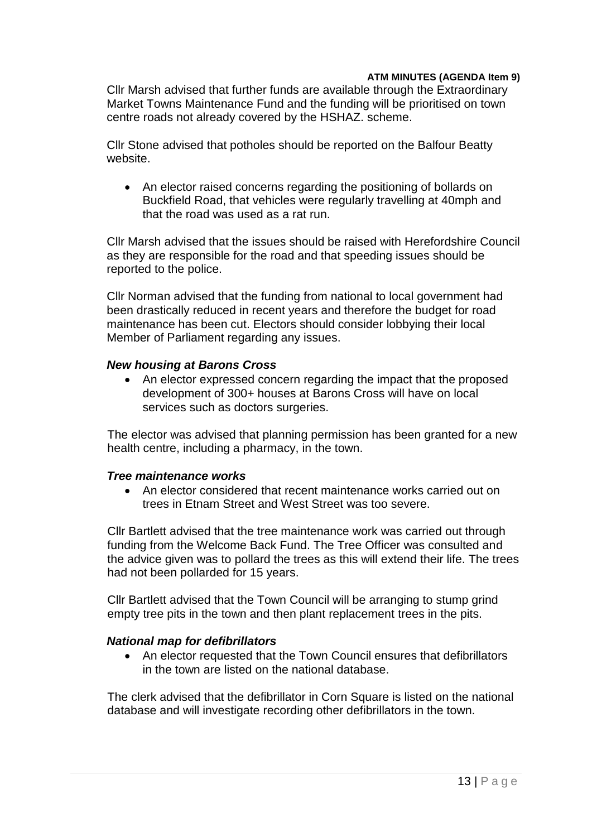Cllr Marsh advised that further funds are available through the Extraordinary Market Towns Maintenance Fund and the funding will be prioritised on town centre roads not already covered by the HSHAZ. scheme.

Cllr Stone advised that potholes should be reported on the Balfour Beatty website.

• An elector raised concerns regarding the positioning of bollards on Buckfield Road, that vehicles were regularly travelling at 40mph and that the road was used as a rat run.

Cllr Marsh advised that the issues should be raised with Herefordshire Council as they are responsible for the road and that speeding issues should be reported to the police.

Cllr Norman advised that the funding from national to local government had been drastically reduced in recent years and therefore the budget for road maintenance has been cut. Electors should consider lobbying their local Member of Parliament regarding any issues.

#### *New housing at Barons Cross*

 An elector expressed concern regarding the impact that the proposed development of 300+ houses at Barons Cross will have on local services such as doctors surgeries.

The elector was advised that planning permission has been granted for a new health centre, including a pharmacy, in the town.

#### *Tree maintenance works*

 An elector considered that recent maintenance works carried out on trees in Etnam Street and West Street was too severe.

Cllr Bartlett advised that the tree maintenance work was carried out through funding from the Welcome Back Fund. The Tree Officer was consulted and the advice given was to pollard the trees as this will extend their life. The trees had not been pollarded for 15 years.

Cllr Bartlett advised that the Town Council will be arranging to stump grind empty tree pits in the town and then plant replacement trees in the pits.

#### *National map for defibrillators*

 An elector requested that the Town Council ensures that defibrillators in the town are listed on the national database.

The clerk advised that the defibrillator in Corn Square is listed on the national database and will investigate recording other defibrillators in the town.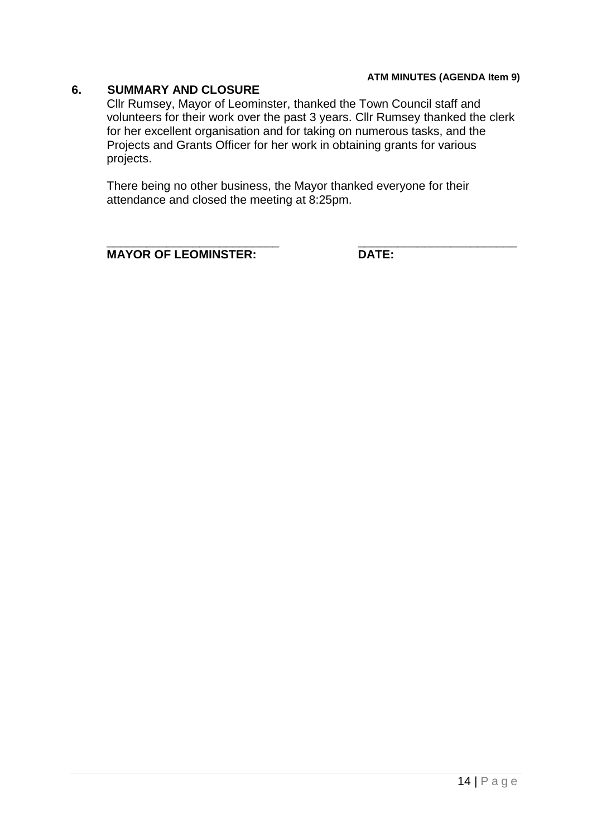#### **6. SUMMARY AND CLOSURE**

Cllr Rumsey, Mayor of Leominster, thanked the Town Council staff and volunteers for their work over the past 3 years. Cllr Rumsey thanked the clerk for her excellent organisation and for taking on numerous tasks, and the Projects and Grants Officer for her work in obtaining grants for various projects.

There being no other business, the Mayor thanked everyone for their attendance and closed the meeting at 8:25pm.

**MAYOR OF LEOMINSTER: DATE:**

\_\_\_\_\_\_\_\_\_\_\_\_\_\_\_\_\_\_\_\_\_\_\_\_\_\_ \_\_\_\_\_\_\_\_\_\_\_\_\_\_\_\_\_\_\_\_\_\_\_\_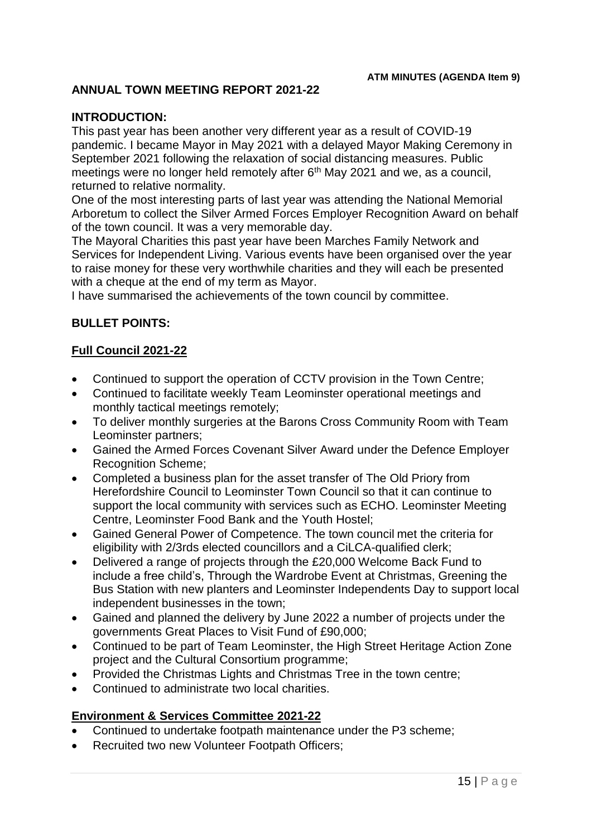# **ANNUAL TOWN MEETING REPORT 2021-22**

#### **INTRODUCTION:**

This past year has been another very different year as a result of COVID-19 pandemic. I became Mayor in May 2021 with a delayed Mayor Making Ceremony in September 2021 following the relaxation of social distancing measures. Public meetings were no longer held remotely after 6<sup>th</sup> May 2021 and we, as a council, returned to relative normality.

One of the most interesting parts of last year was attending the National Memorial Arboretum to collect the Silver Armed Forces Employer Recognition Award on behalf of the town council. It was a very memorable day.

The Mayoral Charities this past year have been Marches Family Network and Services for Independent Living. Various events have been organised over the year to raise money for these very worthwhile charities and they will each be presented with a cheque at the end of my term as Mayor.

I have summarised the achievements of the town council by committee.

#### **BULLET POINTS:**

# **Full Council 2021-22**

- Continued to support the operation of CCTV provision in the Town Centre;
- Continued to facilitate weekly Team Leominster operational meetings and monthly tactical meetings remotely;
- To deliver monthly surgeries at the Barons Cross Community Room with Team Leominster partners;
- Gained the Armed Forces Covenant Silver Award under the Defence Employer Recognition Scheme;
- Completed a business plan for the asset transfer of The Old Priory from Herefordshire Council to Leominster Town Council so that it can continue to support the local community with services such as ECHO. Leominster Meeting Centre, Leominster Food Bank and the Youth Hostel;
- Gained General Power of Competence. The town council met the criteria for eligibility with 2/3rds elected councillors and a CiLCA-qualified clerk;
- Delivered a range of projects through the £20,000 Welcome Back Fund to include a free child's, Through the Wardrobe Event at Christmas, Greening the Bus Station with new planters and Leominster Independents Day to support local independent businesses in the town;
- Gained and planned the delivery by June 2022 a number of projects under the governments Great Places to Visit Fund of £90,000;
- Continued to be part of Team Leominster, the High Street Heritage Action Zone project and the Cultural Consortium programme;
- Provided the Christmas Lights and Christmas Tree in the town centre:
- Continued to administrate two local charities.

#### **Environment & Services Committee 2021-22**

- Continued to undertake footpath maintenance under the P3 scheme;
- Recruited two new Volunteer Footpath Officers;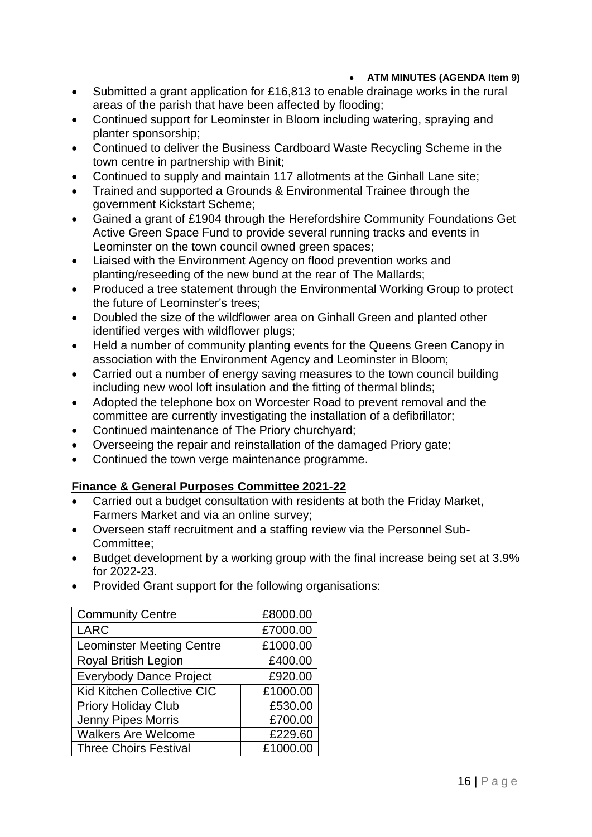- Submitted a grant application for £16,813 to enable drainage works in the rural areas of the parish that have been affected by flooding;
- Continued support for Leominster in Bloom including watering, spraying and planter sponsorship;
- Continued to deliver the Business Cardboard Waste Recycling Scheme in the town centre in partnership with Binit;
- Continued to supply and maintain 117 allotments at the Ginhall Lane site;
- Trained and supported a Grounds & Environmental Trainee through the government Kickstart Scheme;
- Gained a grant of £1904 through the Herefordshire Community Foundations Get Active Green Space Fund to provide several running tracks and events in Leominster on the town council owned green spaces;
- Liaised with the Environment Agency on flood prevention works and planting/reseeding of the new bund at the rear of The Mallards;
- Produced a tree statement through the Environmental Working Group to protect the future of Leominster's trees;
- Doubled the size of the wildflower area on Ginhall Green and planted other identified verges with wildflower plugs;
- Held a number of community planting events for the Queens Green Canopy in association with the Environment Agency and Leominster in Bloom;
- Carried out a number of energy saving measures to the town council building including new wool loft insulation and the fitting of thermal blinds;
- Adopted the telephone box on Worcester Road to prevent removal and the committee are currently investigating the installation of a defibrillator;
- Continued maintenance of The Priory churchyard;
- Overseeing the repair and reinstallation of the damaged Priory gate;
- Continued the town verge maintenance programme.

# **Finance & General Purposes Committee 2021-22**

- Carried out a budget consultation with residents at both the Friday Market, Farmers Market and via an online survey;
- Overseen staff recruitment and a staffing review via the Personnel Sub-Committee;
- Budget development by a working group with the final increase being set at 3.9% for 2022-23.
- Provided Grant support for the following organisations:

| <b>Community Centre</b>          | £8000.00 |
|----------------------------------|----------|
| <b>LARC</b>                      | £7000.00 |
| <b>Leominster Meeting Centre</b> | £1000.00 |
| <b>Royal British Legion</b>      | £400.00  |
| <b>Everybody Dance Project</b>   | £920.00  |
| Kid Kitchen Collective CIC       | £1000.00 |
| <b>Priory Holiday Club</b>       | £530.00  |
| Jenny Pipes Morris               | £700.00  |
| <b>Walkers Are Welcome</b>       | £229.60  |
| <b>Three Choirs Festival</b>     | £1000.00 |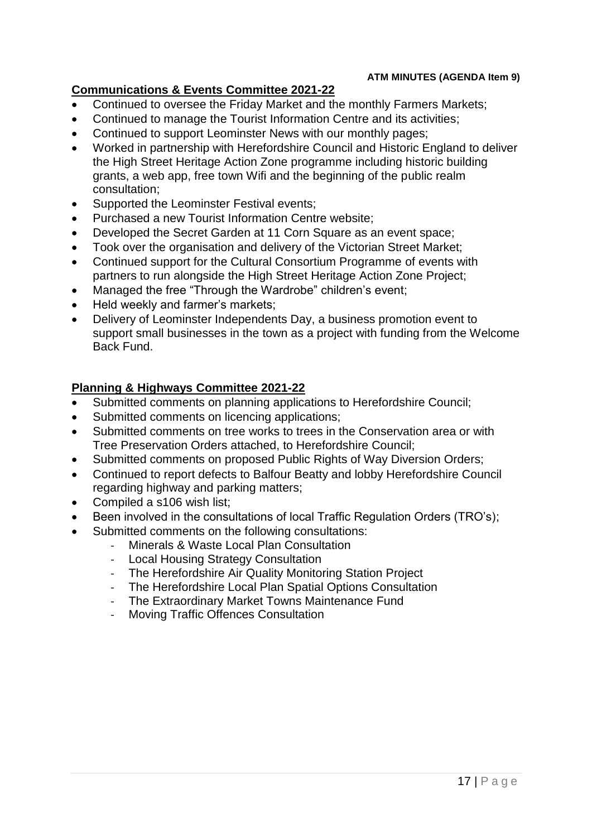# **Communications & Events Committee 2021-22**

- Continued to oversee the Friday Market and the monthly Farmers Markets;
- Continued to manage the Tourist Information Centre and its activities;
- Continued to support Leominster News with our monthly pages;
- Worked in partnership with Herefordshire Council and Historic England to deliver the High Street Heritage Action Zone programme including historic building grants, a web app, free town Wifi and the beginning of the public realm consultation;
- Supported the Leominster Festival events;
- Purchased a new Tourist Information Centre website:
- Developed the Secret Garden at 11 Corn Square as an event space;
- Took over the organisation and delivery of the Victorian Street Market:
- Continued support for the Cultural Consortium Programme of events with partners to run alongside the High Street Heritage Action Zone Project;
- Managed the free "Through the Wardrobe" children's event;
- Held weekly and farmer's markets;
- Delivery of Leominster Independents Day, a business promotion event to support small businesses in the town as a project with funding from the Welcome Back Fund.

# **Planning & Highways Committee 2021-22**

- Submitted comments on planning applications to Herefordshire Council;
- Submitted comments on licencing applications;
- Submitted comments on tree works to trees in the Conservation area or with Tree Preservation Orders attached, to Herefordshire Council;
- Submitted comments on proposed Public Rights of Way Diversion Orders;
- Continued to report defects to Balfour Beatty and lobby Herefordshire Council regarding highway and parking matters;
- Compiled a s106 wish list;
- Been involved in the consultations of local Traffic Regulation Orders (TRO's);
- Submitted comments on the following consultations:
	- Minerals & Waste Local Plan Consultation
	- Local Housing Strategy Consultation
	- The Herefordshire Air Quality Monitoring Station Project
	- The Herefordshire Local Plan Spatial Options Consultation
	- The Extraordinary Market Towns Maintenance Fund
	- Moving Traffic Offences Consultation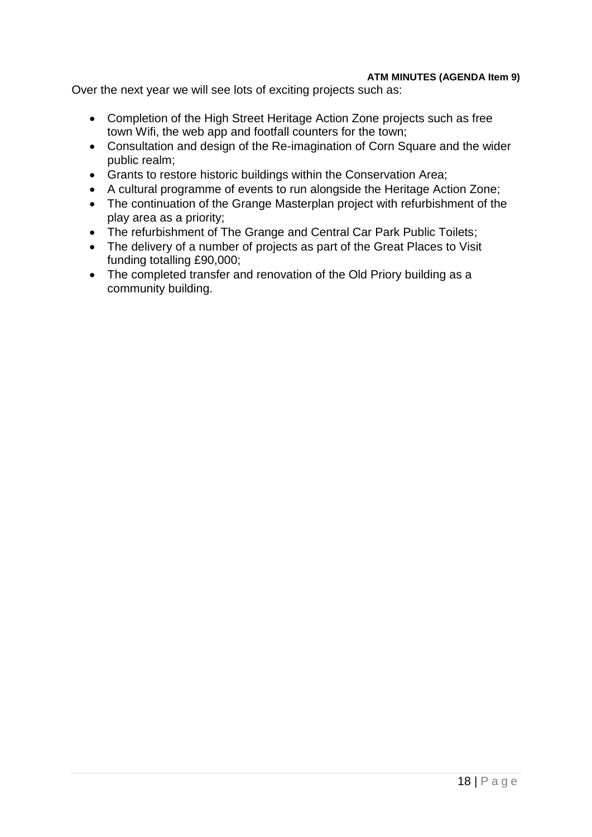Over the next year we will see lots of exciting projects such as:

- Completion of the High Street Heritage Action Zone projects such as free town Wifi, the web app and footfall counters for the town;
- Consultation and design of the Re-imagination of Corn Square and the wider public realm;
- Grants to restore historic buildings within the Conservation Area;
- A cultural programme of events to run alongside the Heritage Action Zone;
- The continuation of the Grange Masterplan project with refurbishment of the play area as a priority;
- The refurbishment of The Grange and Central Car Park Public Toilets;
- The delivery of a number of projects as part of the Great Places to Visit funding totalling £90,000;
- The completed transfer and renovation of the Old Priory building as a community building.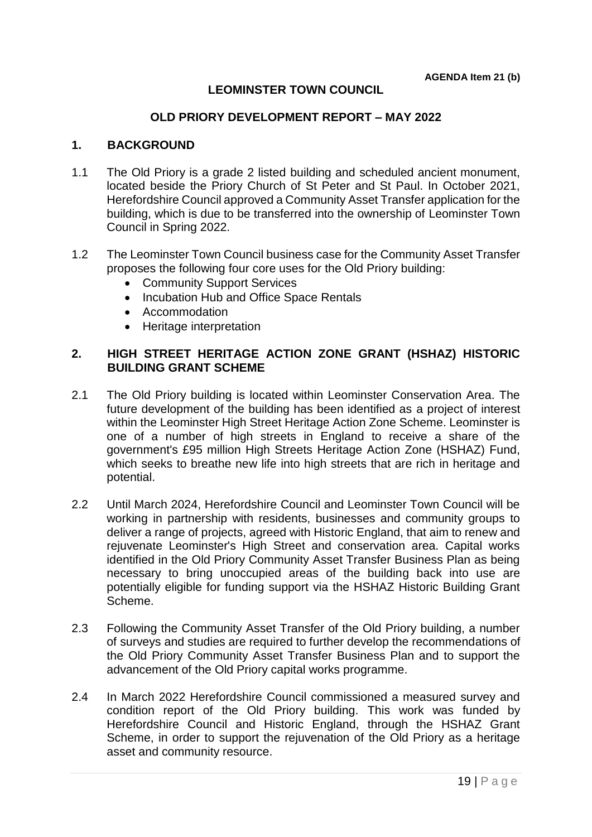# **LEOMINSTER TOWN COUNCIL**

#### **OLD PRIORY DEVELOPMENT REPORT – MAY 2022**

#### **1. BACKGROUND**

- 1.1 The Old Priory is a grade 2 listed building and scheduled ancient monument, located beside the Priory Church of St Peter and St Paul. In October 2021, Herefordshire Council approved a Community Asset Transfer application for the building, which is due to be transferred into the ownership of Leominster Town Council in Spring 2022.
- 1.2 The Leominster Town Council business case for the Community Asset Transfer proposes the following four core uses for the Old Priory building:
	- Community Support Services
	- Incubation Hub and Office Space Rentals
	- Accommodation
	- Heritage interpretation

#### **2. HIGH STREET HERITAGE ACTION ZONE GRANT (HSHAZ) HISTORIC BUILDING GRANT SCHEME**

- 2.1 The Old Priory building is located within Leominster Conservation Area. The future development of the building has been identified as a project of interest within the Leominster High Street Heritage Action Zone Scheme. Leominster is one of a number of high streets in England to receive a share of the government's £95 million High Streets Heritage Action Zone (HSHAZ) Fund, which seeks to breathe new life into high streets that are rich in heritage and potential.
- 2.2 Until March 2024, Herefordshire Council and Leominster Town Council will be working in partnership with residents, businesses and community groups to deliver a range of projects, agreed with Historic England, that aim to renew and rejuvenate Leominster's High Street and conservation area. Capital works identified in the Old Priory Community Asset Transfer Business Plan as being necessary to bring unoccupied areas of the building back into use are potentially eligible for funding support via the HSHAZ Historic Building Grant Scheme.
- 2.3 Following the Community Asset Transfer of the Old Priory building, a number of surveys and studies are required to further develop the recommendations of the Old Priory Community Asset Transfer Business Plan and to support the advancement of the Old Priory capital works programme.
- 2.4 In March 2022 Herefordshire Council commissioned a measured survey and condition report of the Old Priory building. This work was funded by Herefordshire Council and Historic England, through the HSHAZ Grant Scheme, in order to support the rejuvenation of the Old Priory as a heritage asset and community resource.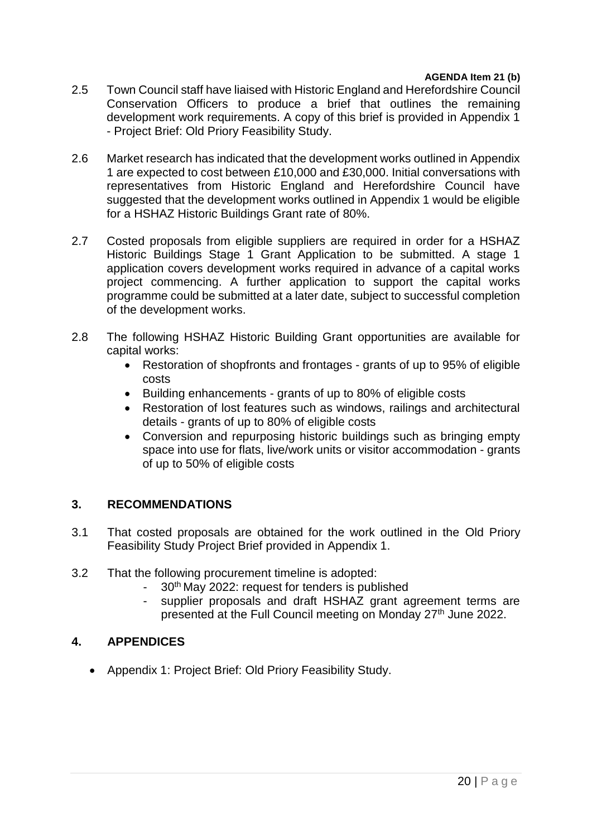#### **AGENDA Item 21 (b)**

- 2.5 Town Council staff have liaised with Historic England and Herefordshire Council Conservation Officers to produce a brief that outlines the remaining development work requirements. A copy of this brief is provided in Appendix 1 - Project Brief: Old Priory Feasibility Study.
- 2.6 Market research has indicated that the development works outlined in Appendix 1 are expected to cost between £10,000 and £30,000. Initial conversations with representatives from Historic England and Herefordshire Council have suggested that the development works outlined in Appendix 1 would be eligible for a HSHAZ Historic Buildings Grant rate of 80%.
- 2.7 Costed proposals from eligible suppliers are required in order for a HSHAZ Historic Buildings Stage 1 Grant Application to be submitted. A stage 1 application covers development works required in advance of a capital works project commencing. A further application to support the capital works programme could be submitted at a later date, subject to successful completion of the development works.
- 2.8 The following HSHAZ Historic Building Grant opportunities are available for capital works:
	- Restoration of shopfronts and frontages grants of up to 95% of eligible costs
	- Building enhancements grants of up to 80% of eligible costs
	- Restoration of lost features such as windows, railings and architectural details - grants of up to 80% of eligible costs
	- Conversion and repurposing historic buildings such as bringing empty space into use for flats, live/work units or visitor accommodation - grants of up to 50% of eligible costs

# **3. RECOMMENDATIONS**

- 3.1 That costed proposals are obtained for the work outlined in the Old Priory Feasibility Study Project Brief provided in Appendix 1.
- 3.2 That the following procurement timeline is adopted:
	- 30<sup>th</sup> May 2022: request for tenders is published
	- supplier proposals and draft HSHAZ grant agreement terms are presented at the Full Council meeting on Monday 27<sup>th</sup> June 2022.

# **4. APPENDICES**

Appendix 1: Project Brief: Old Priory Feasibility Study.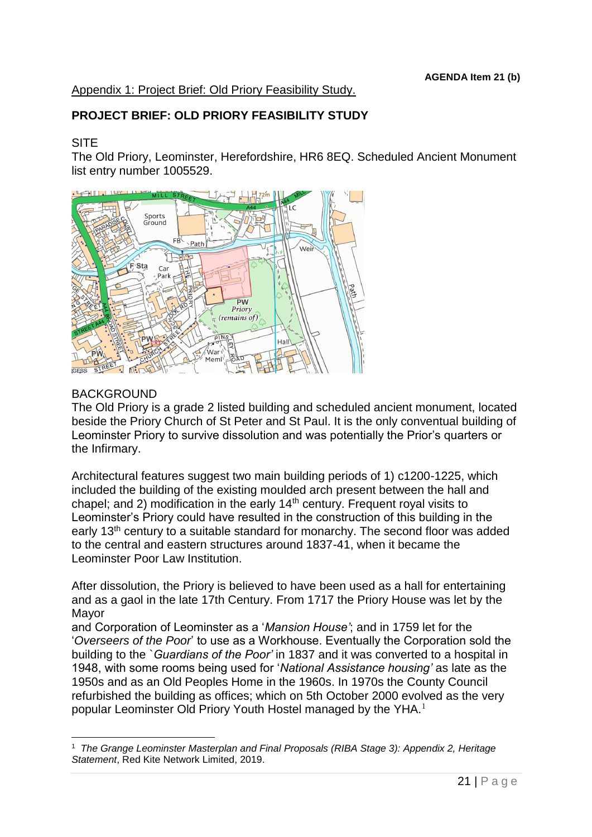# Appendix 1: Project Brief: Old Priory Feasibility Study.

# **PROJECT BRIEF: OLD PRIORY FEASIBILITY STUDY**

#### **SITE**

The Old Priory, Leominster, Herefordshire, HR6 8EQ. Scheduled Ancient Monument list entry number 1005529.



#### **BACKGROUND**

1

The Old Priory is a grade 2 listed building and scheduled ancient monument, located beside the Priory Church of St Peter and St Paul. It is the only conventual building of Leominster Priory to survive dissolution and was potentially the Prior's quarters or the Infirmary.

Architectural features suggest two main building periods of 1) c1200-1225, which included the building of the existing moulded arch present between the hall and chapel; and 2) modification in the early  $14<sup>th</sup>$  century. Frequent royal visits to Leominster's Priory could have resulted in the construction of this building in the early 13<sup>th</sup> century to a suitable standard for monarchy. The second floor was added to the central and eastern structures around 1837-41, when it became the Leominster Poor Law Institution.

After dissolution, the Priory is believed to have been used as a hall for entertaining and as a gaol in the late 17th Century. From 1717 the Priory House was let by the Mayor

and Corporation of Leominster as a '*Mansion House'*; and in 1759 let for the '*Overseers of the Poor*' to use as a Workhouse. Eventually the Corporation sold the building to the `*Guardians of the Poor'* in 1837 and it was converted to a hospital in 1948, with some rooms being used for '*National Assistance housing'* as late as the 1950s and as an Old Peoples Home in the 1960s. In 1970s the County Council refurbished the building as offices; which on 5th October 2000 evolved as the very popular Leominster Old Priory Youth Hostel managed by the YHA.<sup>1</sup>

<sup>&</sup>lt;sup>1</sup> The Grange Leominster Masterplan and Final Proposals (RIBA Stage 3): Appendix 2, Heritage *Statement*, Red Kite Network Limited, 2019.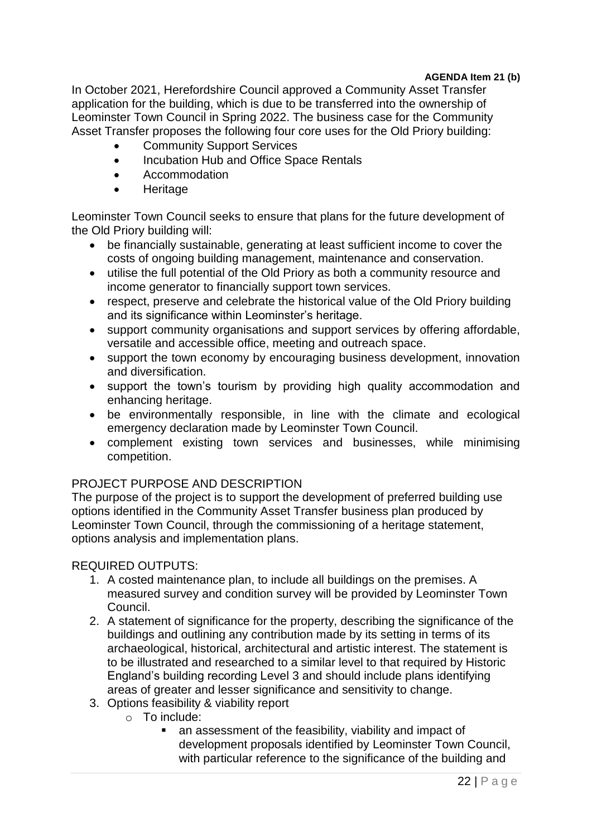## **AGENDA Item 21 (b)**

In October 2021, Herefordshire Council approved a Community Asset Transfer application for the building, which is due to be transferred into the ownership of Leominster Town Council in Spring 2022. The business case for the Community Asset Transfer proposes the following four core uses for the Old Priory building:

- Community Support Services
- Incubation Hub and Office Space Rentals
- Accommodation
- **Heritage**

Leominster Town Council seeks to ensure that plans for the future development of the Old Priory building will:

- be financially sustainable, generating at least sufficient income to cover the costs of ongoing building management, maintenance and conservation.
- utilise the full potential of the Old Priory as both a community resource and income generator to financially support town services.
- respect, preserve and celebrate the historical value of the Old Priory building and its significance within Leominster's heritage.
- support community organisations and support services by offering affordable, versatile and accessible office, meeting and outreach space.
- support the town economy by encouraging business development, innovation and diversification.
- support the town's tourism by providing high quality accommodation and enhancing heritage.
- be environmentally responsible, in line with the climate and ecological emergency declaration made by Leominster Town Council.
- complement existing town services and businesses, while minimising competition.

# PROJECT PURPOSE AND DESCRIPTION

The purpose of the project is to support the development of preferred building use options identified in the Community Asset Transfer business plan produced by Leominster Town Council, through the commissioning of a heritage statement, options analysis and implementation plans.

# REQUIRED OUTPUTS:

- 1. A costed maintenance plan, to include all buildings on the premises. A measured survey and condition survey will be provided by Leominster Town Council.
- 2. A statement of significance for the property, describing the significance of the buildings and outlining any contribution made by its setting in terms of its archaeological, historical, architectural and artistic interest. The statement is to be illustrated and researched to a similar level to that required by Historic England's building recording Level 3 and should include plans identifying areas of greater and lesser significance and sensitivity to change.
- 3. Options feasibility & viability report
	- o To include:
		- an assessment of the feasibility, viability and impact of development proposals identified by Leominster Town Council, with particular reference to the significance of the building and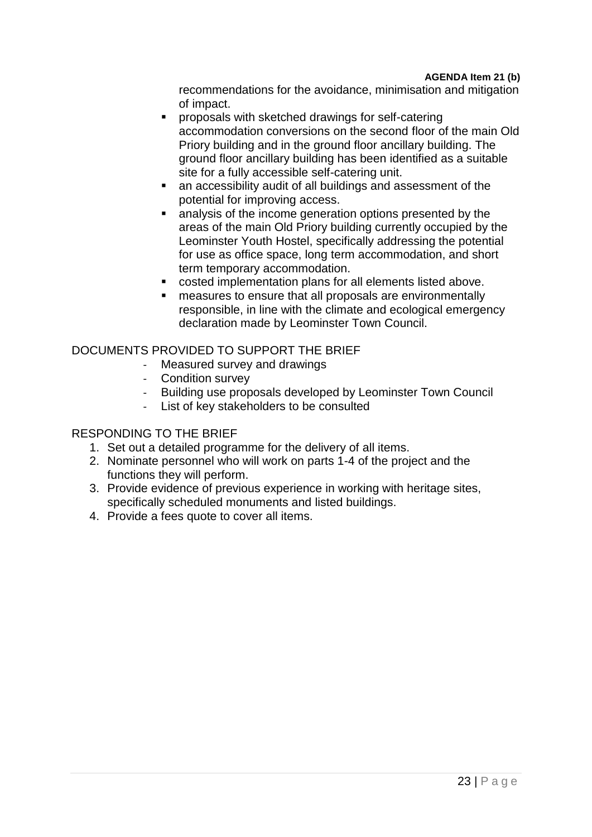recommendations for the avoidance, minimisation and mitigation of impact.

- proposals with sketched drawings for self-catering accommodation conversions on the second floor of the main Old Priory building and in the ground floor ancillary building. The ground floor ancillary building has been identified as a suitable site for a fully accessible self-catering unit.
- an accessibility audit of all buildings and assessment of the potential for improving access.
- analysis of the income generation options presented by the areas of the main Old Priory building currently occupied by the Leominster Youth Hostel, specifically addressing the potential for use as office space, long term accommodation, and short term temporary accommodation.
- costed implementation plans for all elements listed above.
- measures to ensure that all proposals are environmentally responsible, in line with the climate and ecological emergency declaration made by Leominster Town Council.

# DOCUMENTS PROVIDED TO SUPPORT THE BRIEF

- Measured survey and drawings
- Condition survey
- Building use proposals developed by Leominster Town Council
- List of key stakeholders to be consulted

#### RESPONDING TO THE BRIEF

- 1. Set out a detailed programme for the delivery of all items.
- 2. Nominate personnel who will work on parts 1-4 of the project and the functions they will perform.
- 3. Provide evidence of previous experience in working with heritage sites, specifically scheduled monuments and listed buildings.
- 4. Provide a fees quote to cover all items.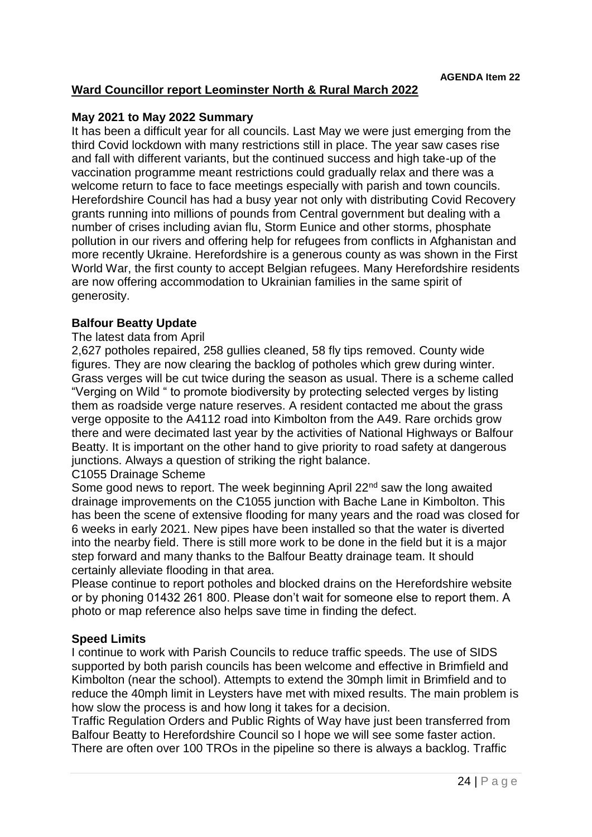# **Ward Councillor report Leominster North & Rural March 2022**

#### **May 2021 to May 2022 Summary**

It has been a difficult year for all councils. Last May we were just emerging from the third Covid lockdown with many restrictions still in place. The year saw cases rise and fall with different variants, but the continued success and high take-up of the vaccination programme meant restrictions could gradually relax and there was a welcome return to face to face meetings especially with parish and town councils. Herefordshire Council has had a busy year not only with distributing Covid Recovery grants running into millions of pounds from Central government but dealing with a number of crises including avian flu, Storm Eunice and other storms, phosphate pollution in our rivers and offering help for refugees from conflicts in Afghanistan and more recently Ukraine. Herefordshire is a generous county as was shown in the First World War, the first county to accept Belgian refugees. Many Herefordshire residents are now offering accommodation to Ukrainian families in the same spirit of generosity.

#### **Balfour Beatty Update**

#### The latest data from April

2,627 potholes repaired, 258 gullies cleaned, 58 fly tips removed. County wide figures. They are now clearing the backlog of potholes which grew during winter. Grass verges will be cut twice during the season as usual. There is a scheme called "Verging on Wild " to promote biodiversity by protecting selected verges by listing them as roadside verge nature reserves. A resident contacted me about the grass verge opposite to the A4112 road into Kimbolton from the A49. Rare orchids grow there and were decimated last year by the activities of National Highways or Balfour Beatty. It is important on the other hand to give priority to road safety at dangerous junctions. Always a question of striking the right balance.

#### C1055 Drainage Scheme

Some good news to report. The week beginning April 22<sup>nd</sup> saw the long awaited drainage improvements on the C1055 junction with Bache Lane in Kimbolton. This has been the scene of extensive flooding for many years and the road was closed for 6 weeks in early 2021. New pipes have been installed so that the water is diverted into the nearby field. There is still more work to be done in the field but it is a major step forward and many thanks to the Balfour Beatty drainage team. It should certainly alleviate flooding in that area.

Please continue to report potholes and blocked drains on the Herefordshire website or by phoning 01432 261 800. Please don't wait for someone else to report them. A photo or map reference also helps save time in finding the defect.

#### **Speed Limits**

I continue to work with Parish Councils to reduce traffic speeds. The use of SIDS supported by both parish councils has been welcome and effective in Brimfield and Kimbolton (near the school). Attempts to extend the 30mph limit in Brimfield and to reduce the 40mph limit in Leysters have met with mixed results. The main problem is how slow the process is and how long it takes for a decision.

Traffic Regulation Orders and Public Rights of Way have just been transferred from Balfour Beatty to Herefordshire Council so I hope we will see some faster action. There are often over 100 TROs in the pipeline so there is always a backlog. Traffic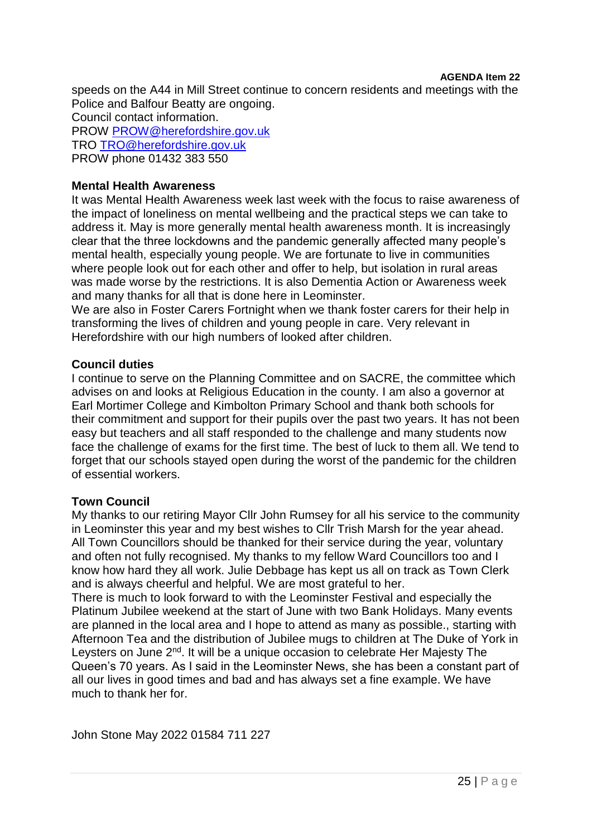#### **AGENDA Item 22**

speeds on the A44 in Mill Street continue to concern residents and meetings with the Police and Balfour Beatty are ongoing. Council contact information.

PROW [PROW@herefordshire.gov.uk](mailto:PROW@herefordshire.gov.uk) TRO [TRO@herefordshire.gov.uk](mailto:TRO@herefordshire.gov.uk) PROW phone 01432 383 550

#### **Mental Health Awareness**

It was Mental Health Awareness week last week with the focus to raise awareness of the impact of loneliness on mental wellbeing and the practical steps we can take to address it. May is more generally mental health awareness month. It is increasingly clear that the three lockdowns and the pandemic generally affected many people's mental health, especially young people. We are fortunate to live in communities where people look out for each other and offer to help, but isolation in rural areas was made worse by the restrictions. It is also Dementia Action or Awareness week and many thanks for all that is done here in Leominster.

We are also in Foster Carers Fortnight when we thank foster carers for their help in transforming the lives of children and young people in care. Very relevant in Herefordshire with our high numbers of looked after children.

#### **Council duties**

I continue to serve on the Planning Committee and on SACRE, the committee which advises on and looks at Religious Education in the county. I am also a governor at Earl Mortimer College and Kimbolton Primary School and thank both schools for their commitment and support for their pupils over the past two years. It has not been easy but teachers and all staff responded to the challenge and many students now face the challenge of exams for the first time. The best of luck to them all. We tend to forget that our schools stayed open during the worst of the pandemic for the children of essential workers.

#### **Town Council**

My thanks to our retiring Mayor Cllr John Rumsey for all his service to the community in Leominster this year and my best wishes to Cllr Trish Marsh for the year ahead. All Town Councillors should be thanked for their service during the year, voluntary and often not fully recognised. My thanks to my fellow Ward Councillors too and I know how hard they all work. Julie Debbage has kept us all on track as Town Clerk and is always cheerful and helpful. We are most grateful to her.

There is much to look forward to with the Leominster Festival and especially the Platinum Jubilee weekend at the start of June with two Bank Holidays. Many events are planned in the local area and I hope to attend as many as possible., starting with Afternoon Tea and the distribution of Jubilee mugs to children at The Duke of York in Leysters on June 2<sup>nd</sup>. It will be a unique occasion to celebrate Her Majesty The Queen's 70 years. As I said in the Leominster News, she has been a constant part of all our lives in good times and bad and has always set a fine example. We have much to thank her for.

John Stone May 2022 01584 711 227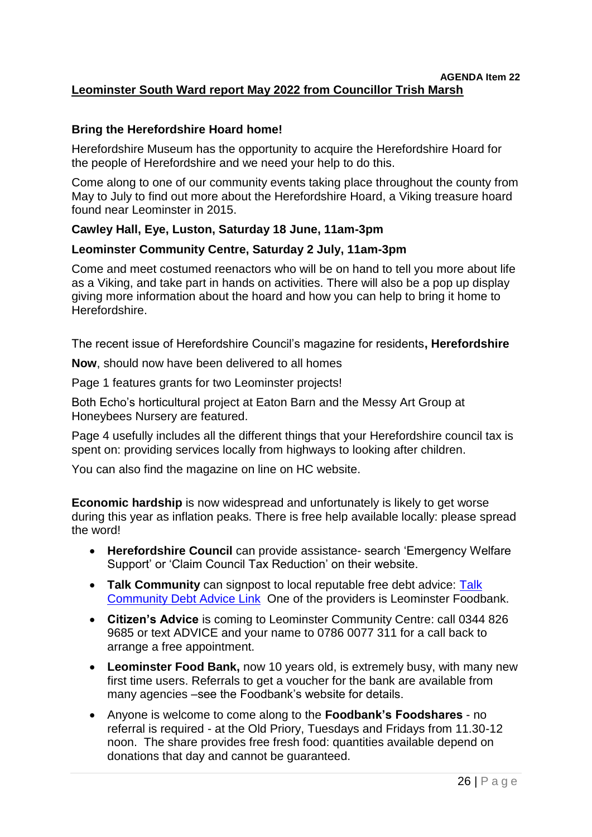#### **AGENDA Item 22 Leominster South Ward report May 2022 from Councillor Trish Marsh**

# **Bring the Herefordshire Hoard home!**

Herefordshire Museum has the opportunity to acquire the Herefordshire Hoard for the people of Herefordshire and we need your help to do this.

Come along to one of our community events taking place throughout the county from May to July to find out more about the Herefordshire Hoard, a Viking treasure hoard found near Leominster in 2015.

# **Cawley Hall, Eye, Luston, Saturday 18 June, 11am-3pm**

# **Leominster Community Centre, Saturday 2 July, 11am-3pm**

Come and meet costumed reenactors who will be on hand to tell you more about life as a Viking, and take part in hands on activities. There will also be a pop up display giving more information about the hoard and how you can help to bring it home to Herefordshire.

The recent issue of Herefordshire Council's magazine for residents**, Herefordshire**

**Now**, should now have been delivered to all homes

Page 1 features grants for two Leominster projects!

Both Echo's horticultural project at Eaton Barn and the Messy Art Group at Honeybees Nursery are featured.

Page 4 usefully includes all the different things that your Herefordshire council tax is spent on: providing services locally from highways to looking after children.

You can also find the magazine on line on HC website.

**Economic hardship** is now widespread and unfortunately is likely to get worse during this year as inflation peaks. There is free help available locally: please spread the word!

- **Herefordshire Council** can provide assistance- search 'Emergency Welfare Support' or 'Claim Council Tax Reduction' on their website.
- **Talk Community** can signpost to local reputable free debt advice: [Talk](https://www.talkcommunitydirectory.org/money-and-legal-matters/money-debt-and-budgeting/)  [Community Debt Advice Link](https://www.talkcommunitydirectory.org/money-and-legal-matters/money-debt-and-budgeting/) One of the providers is Leominster Foodbank.
- **Citizen's Advice** is coming to Leominster Community Centre: call 0344 826 9685 or text ADVICE and your name to 0786 0077 311 for a call back to arrange a free appointment.
- **Leominster Food Bank,** now 10 years old, is extremely busy, with many new first time users. Referrals to get a voucher for the bank are available from many agencies –see the Foodbank's website for details.
- Anyone is welcome to come along to the **Foodbank's Foodshares** no referral is required - at the Old Priory, Tuesdays and Fridays from 11.30-12 noon. The share provides free fresh food: quantities available depend on donations that day and cannot be guaranteed.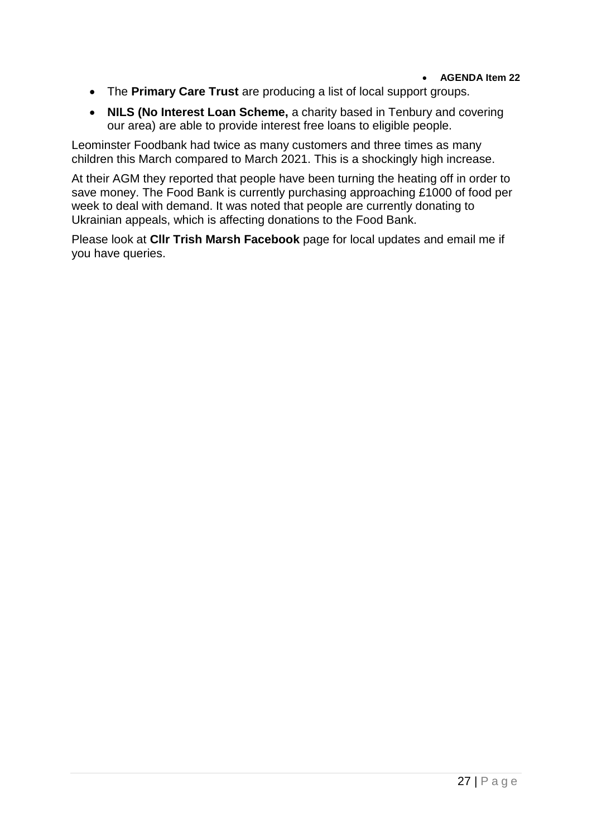- The **Primary Care Trust** are producing a list of local support groups.
- **NILS (No Interest Loan Scheme,** a charity based in Tenbury and covering our area) are able to provide interest free loans to eligible people.

Leominster Foodbank had twice as many customers and three times as many children this March compared to March 2021. This is a shockingly high increase.

At their AGM they reported that people have been turning the heating off in order to save money. The Food Bank is currently purchasing approaching £1000 of food per week to deal with demand. It was noted that people are currently donating to Ukrainian appeals, which is affecting donations to the Food Bank.

Please look at **Cllr Trish Marsh Facebook** page for local updates and email me if you have queries.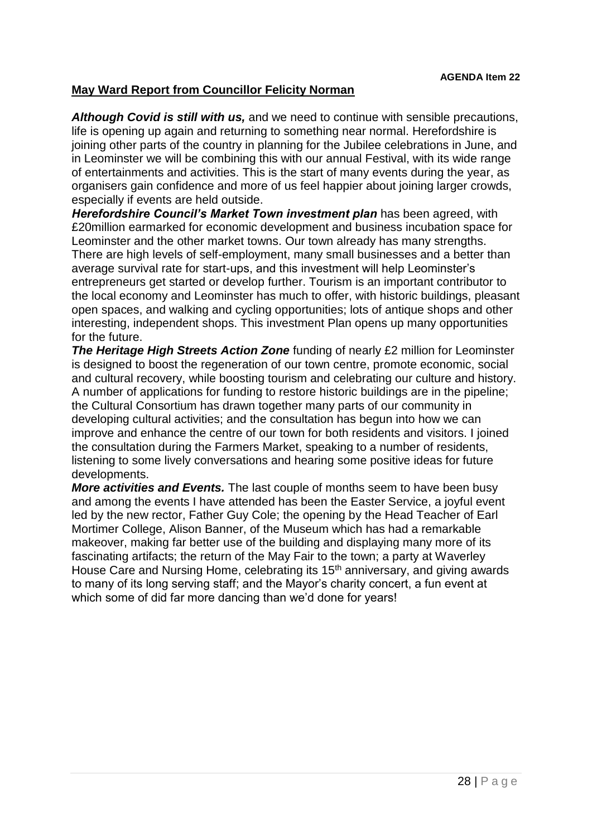# **May Ward Report from Councillor Felicity Norman**

*Although Covid is still with us,* and we need to continue with sensible precautions, life is opening up again and returning to something near normal. Herefordshire is joining other parts of the country in planning for the Jubilee celebrations in June, and in Leominster we will be combining this with our annual Festival, with its wide range of entertainments and activities. This is the start of many events during the year, as organisers gain confidence and more of us feel happier about joining larger crowds, especially if events are held outside.

*Herefordshire Council's Market Town investment plan* has been agreed, with £20million earmarked for economic development and business incubation space for Leominster and the other market towns. Our town already has many strengths. There are high levels of self-employment, many small businesses and a better than average survival rate for start-ups, and this investment will help Leominster's entrepreneurs get started or develop further. Tourism is an important contributor to the local economy and Leominster has much to offer, with historic buildings, pleasant open spaces, and walking and cycling opportunities; lots of antique shops and other interesting, independent shops. This investment Plan opens up many opportunities for the future.

*The Heritage High Streets Action Zone* funding of nearly £2 million for Leominster is designed to boost the regeneration of our town centre, promote economic, social and cultural recovery, while boosting tourism and celebrating our culture and history. A number of applications for funding to restore historic buildings are in the pipeline; the Cultural Consortium has drawn together many parts of our community in developing cultural activities; and the consultation has begun into how we can improve and enhance the centre of our town for both residents and visitors. I joined the consultation during the Farmers Market, speaking to a number of residents, listening to some lively conversations and hearing some positive ideas for future developments.

*More activities and Events.* The last couple of months seem to have been busy and among the events I have attended has been the Easter Service, a joyful event led by the new rector, Father Guy Cole; the opening by the Head Teacher of Earl Mortimer College, Alison Banner, of the Museum which has had a remarkable makeover, making far better use of the building and displaying many more of its fascinating artifacts; the return of the May Fair to the town; a party at Waverley House Care and Nursing Home, celebrating its 15<sup>th</sup> anniversary, and giving awards to many of its long serving staff; and the Mayor's charity concert, a fun event at which some of did far more dancing than we'd done for years!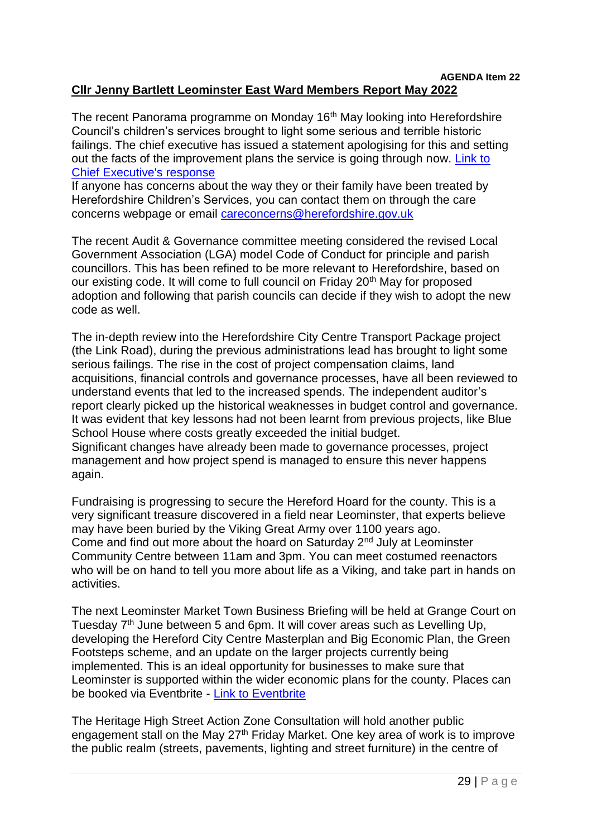#### **AGENDA Item 22 Cllr Jenny Bartlett Leominster East Ward Members Report May 2022**

The recent Panorama programme on Monday 16<sup>th</sup> May looking into Herefordshire Council's children's services brought to light some serious and terrible historic failings. The chief executive has issued a statement apologising for this and setting out the facts of the improvement plans the service is going through now. Link to [Chief Executive's response](https://www.herefordshire.gov.uk/news/article/1355/panorama-statement)

If anyone has concerns about the way they or their family have been treated by Herefordshire Children's Services, you can contact them on through the care concerns webpage or email [careconcerns@herefordshire.gov.uk](mailto:careconcerns@herefordshire.gov.uk)

The recent Audit & Governance committee meeting considered the revised Local Government Association (LGA) model Code of Conduct for principle and parish councillors. This has been refined to be more relevant to Herefordshire, based on our existing code. It will come to full council on Friday 20<sup>th</sup> May for proposed adoption and following that parish councils can decide if they wish to adopt the new code as well.

The in-depth review into the Herefordshire City Centre Transport Package project (the Link Road), during the previous administrations lead has brought to light some serious failings. The rise in the cost of project compensation claims, land acquisitions, financial controls and governance processes, have all been reviewed to understand events that led to the increased spends. The independent auditor's report clearly picked up the historical weaknesses in budget control and governance. It was evident that key lessons had not been learnt from previous projects, like Blue School House where costs greatly exceeded the initial budget. Significant changes have already been made to governance processes, project management and how project spend is managed to ensure this never happens again.

Fundraising is progressing to secure the Hereford Hoard for the county. This is a very significant treasure discovered in a field near Leominster, that experts believe may have been buried by the Viking Great Army over 1100 years ago. Come and find out more about the hoard on Saturday 2nd July at Leominster Community Centre between 11am and 3pm. You can meet costumed reenactors who will be on hand to tell you more about life as a Viking, and take part in hands on activities.

The next Leominster Market Town Business Briefing will be held at Grange Court on Tuesday 7<sup>th</sup> June between 5 and 6pm. It will cover areas such as Levelling Up, developing the Hereford City Centre Masterplan and Big Economic Plan, the Green Footsteps scheme, and an update on the larger projects currently being implemented. This is an ideal opportunity for businesses to make sure that Leominster is supported within the wider economic plans for the county. Places can be booked via Eventbrite - [Link to Eventbrite](https://www.eventbrite.co.uk/e/leominster-business-summit-tickets-311022425447?aff=erelpanelorg)

The Heritage High Street Action Zone Consultation will hold another public engagement stall on the May 27<sup>th</sup> Friday Market. One key area of work is to improve the public realm (streets, pavements, lighting and street furniture) in the centre of